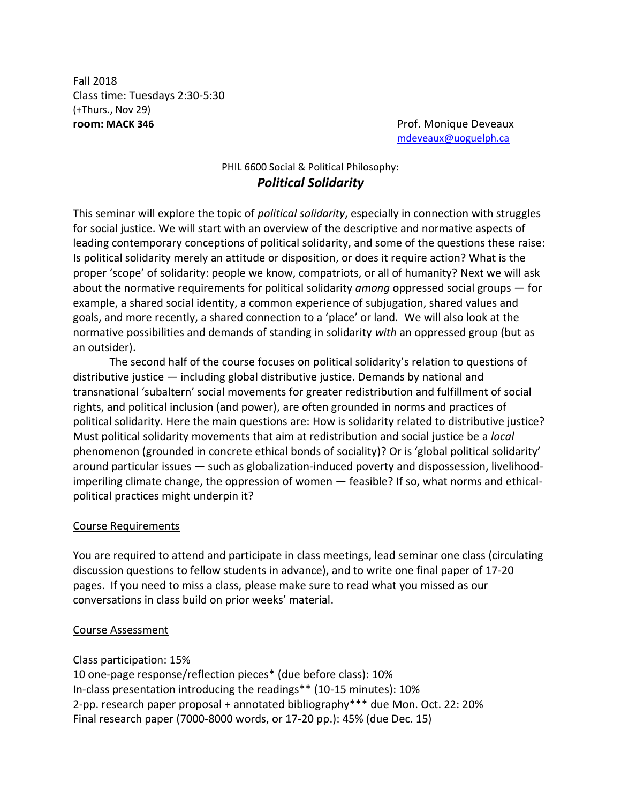Fall 2018 Class time: Tuesdays 2:30-5:30 (+Thurs., Nov 29) **room: MACK 346 Prof.** Monique Deveaux

[mdeveaux@uoguelph.ca](mailto:mdeveaux@uoguelph.ca)

# PHIL 6600 Social & Political Philosophy: *Political Solidarity*

This seminar will explore the topic of *political solidarity*, especially in connection with struggles for social justice. We will start with an overview of the descriptive and normative aspects of leading contemporary conceptions of political solidarity, and some of the questions these raise: Is political solidarity merely an attitude or disposition, or does it require action? What is the proper 'scope' of solidarity: people we know, compatriots, or all of humanity? Next we will ask about the normative requirements for political solidarity *among* oppressed social groups — for example, a shared social identity, a common experience of subjugation, shared values and goals, and more recently, a shared connection to a 'place' or land. We will also look at the normative possibilities and demands of standing in solidarity *with* an oppressed group (but as an outsider).

The second half of the course focuses on political solidarity's relation to questions of distributive justice — including global distributive justice. Demands by national and transnational 'subaltern' social movements for greater redistribution and fulfillment of social rights, and political inclusion (and power), are often grounded in norms and practices of political solidarity. Here the main questions are: How is solidarity related to distributive justice? Must political solidarity movements that aim at redistribution and social justice be a *local* phenomenon (grounded in concrete ethical bonds of sociality)? Or is 'global political solidarity' around particular issues — such as globalization-induced poverty and dispossession, livelihoodimperiling climate change, the oppression of women — feasible? If so, what norms and ethicalpolitical practices might underpin it?

## Course Requirements

You are required to attend and participate in class meetings, lead seminar one class (circulating discussion questions to fellow students in advance), and to write one final paper of 17-20 pages. If you need to miss a class, please make sure to read what you missed as our conversations in class build on prior weeks' material.

### Course Assessment

Class participation: 15%

10 one-page response/reflection pieces\* (due before class): 10% In-class presentation introducing the readings\*\* (10-15 minutes): 10% 2-pp. research paper proposal + annotated bibliography\*\*\* due Mon. Oct. 22: 20% Final research paper (7000-8000 words, or 17-20 pp.): 45% (due Dec. 15)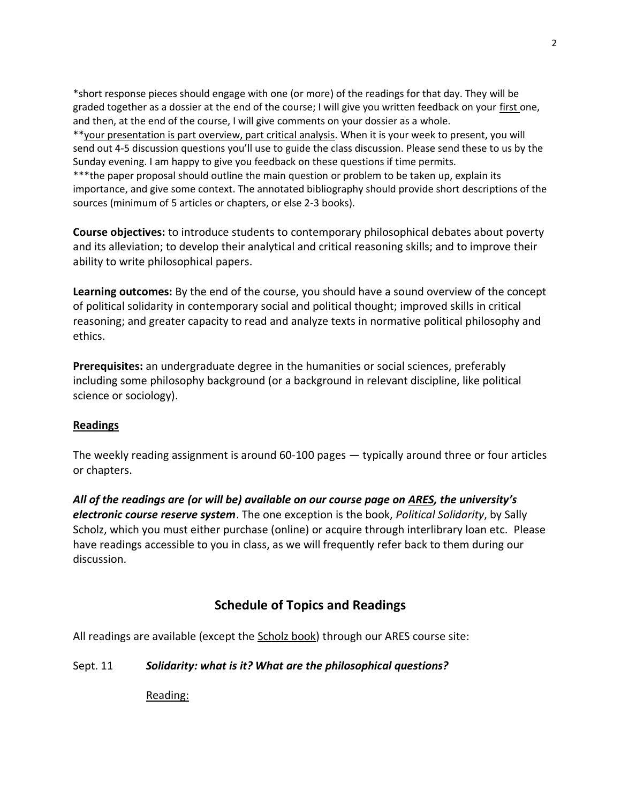\*short response pieces should engage with one (or more) of the readings for that day. They will be graded together as a dossier at the end of the course; I will give you written feedback on your first one, and then, at the end of the course, I will give comments on your dossier as a whole. \*\*your presentation is part overview, part critical analysis. When it is your week to present, you will send out 4-5 discussion questions you'll use to guide the class discussion. Please send these to us by the Sunday evening. I am happy to give you feedback on these questions if time permits. \*\*\*the paper proposal should outline the main question or problem to be taken up, explain its importance, and give some context. The annotated bibliography should provide short descriptions of the sources (minimum of 5 articles or chapters, or else 2-3 books).

**Course objectives:** to introduce students to contemporary philosophical debates about poverty and its alleviation; to develop their analytical and critical reasoning skills; and to improve their ability to write philosophical papers.

**Learning outcomes:** By the end of the course, you should have a sound overview of the concept of political solidarity in contemporary social and political thought; improved skills in critical reasoning; and greater capacity to read and analyze texts in normative political philosophy and ethics.

**Prerequisites:** an undergraduate degree in the humanities or social sciences, preferably including some philosophy background (or a background in relevant discipline, like political science or sociology).

# **Readings**

The weekly reading assignment is around 60-100 pages — typically around three or four articles or chapters.

*All of the readings are (or will be) available on our course page on ARES, the university's electronic course reserve system*. The one exception is the book, *Political Solidarity*, by Sally Scholz, which you must either purchase (online) or acquire through interlibrary loan etc. Please have readings accessible to you in class, as we will frequently refer back to them during our discussion.

# **Schedule of Topics and Readings**

All readings are available (except the Scholz book) through our ARES course site:

Sept. 11 *Solidarity: what is it? What are the philosophical questions?*

Reading: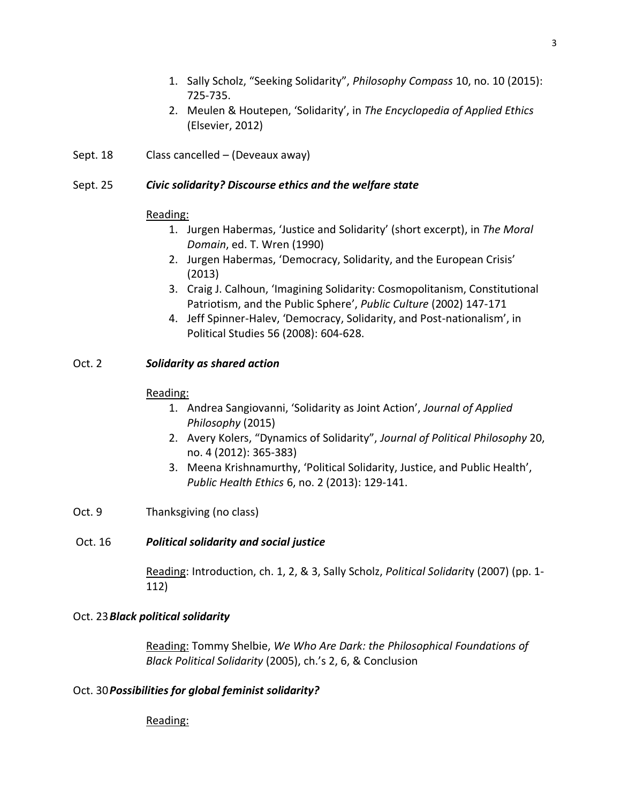- 1. Sally Scholz, "Seeking Solidarity", *Philosophy Compass* 10, no. 10 (2015): 725-735.
- 2. Meulen & Houtepen, 'Solidarity', in *The Encyclopedia of Applied Ethics* (Elsevier, 2012)
- Sept. 18 Class cancelled (Deveaux away)

## Sept. 25 *Civic solidarity? Discourse ethics and the welfare state*

## Reading:

- 1. Jurgen Habermas, 'Justice and Solidarity' (short excerpt), in *The Moral Domain*, ed. T. Wren (1990)
- 2. Jurgen Habermas, 'Democracy, Solidarity, and the European Crisis' (2013)
- 3. [Craig J. Calhoun,](http://muse.jhu.edu.myaccess.library.utoronto.ca/results?section1=author&search1=Craig%20J.%20Calhoun) 'Imagining Solidarity: Cosmopolitanism, Constitutional Patriotism, and the Public Sphere', *Public Culture* (2002) 147-171
- 4. Jeff Spinner-Halev, 'Democracy, Solidarity, and Post-nationalism', in Political Studies 56 (2008): 604-628.

## Oct. 2 *Solidarity as shared action*

## Reading:

- 1. Andrea Sangiovanni, 'Solidarity as Joint Action', *Journal of Applied Philosophy* (2015)
- 2. Avery Kolers, "Dynamics of Solidarity", *Journal of Political Philosophy* 20, no. 4 (2012): 365-383)
- 3. Meena Krishnamurthy, 'Political Solidarity, Justice, and Public Health', *Public Health Ethics* 6, no. 2 (2013): 129-141.
- Oct. 9 Thanksgiving (no class)

# Oct. 16 *Political solidarity and social justice*

Reading: Introduction, ch. 1, 2, & 3, Sally Scholz, *Political Solidarit*y (2007) (pp. 1- 112)

# Oct. 23*Black political solidarity*

Reading: Tommy Shelbie, *We Who Are Dark: the Philosophical Foundations of Black Political Solidarity* (2005), ch.'s 2, 6, & Conclusion

# Oct. 30*Possibilities for global feminist solidarity?*

Reading: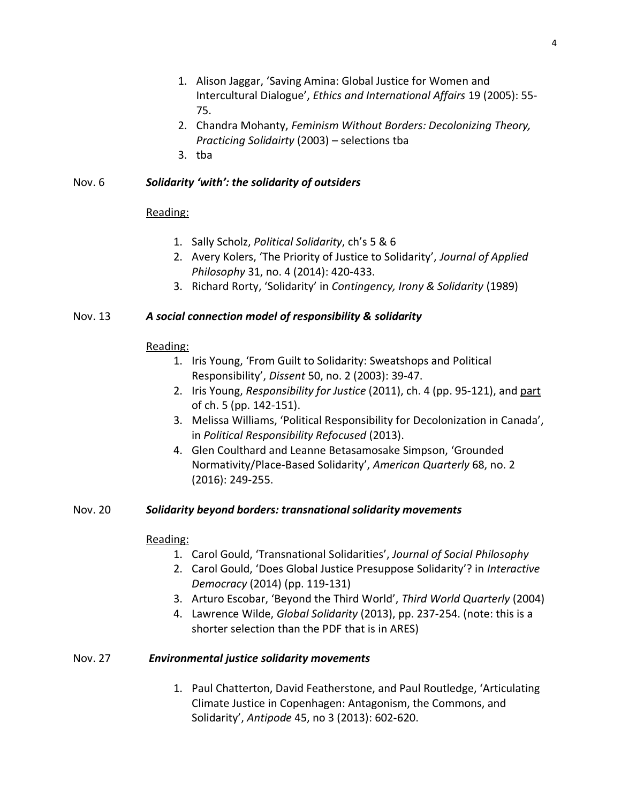- 1. Alison Jaggar, 'Saving Amina: Global Justice for Women and Intercultural Dialogue', *Ethics and International Affairs* 19 (2005): 55- 75.
- 2. Chandra Mohanty, *Feminism Without Borders: Decolonizing Theory, Practicing Solidairty* (2003) – selections tba
- 3. tba

# Nov. 6 *Solidarity 'with': the solidarity of outsiders*

## Reading:

- 1. Sally Scholz, *Political Solidarity*, ch's 5 & 6
- 2. Avery Kolers, 'The Priority of Justice to Solidarity', *Journal of Applied Philosophy* 31, no. 4 (2014): 420-433.
- 3. Richard Rorty, 'Solidarity' in *Contingency, Irony & Solidarity* (1989)

# Nov. 13 *A social connection model of responsibility & solidarity*

## Reading:

- 1. Iris Young, 'From Guilt to Solidarity: Sweatshops and Political Responsibility', *Dissent* 50, no. 2 (2003): 39-47.
- 2. Iris Young, *Responsibility for Justice* (2011), ch. 4 (pp. 95-121), and part of ch. 5 (pp. 142-151).
- 3. Melissa Williams, 'Political Responsibility for Decolonization in Canada', in *Political Responsibility Refocused* (2013).
- 4. Glen Coulthard and Leanne Betasamosake Simpson, 'Grounded Normativity/Place-Based Solidarity', *American Quarterly* 68, no. 2 (2016): 249-255.

# Nov. 20 *Solidarity beyond borders: transnational solidarity movements*

## Reading:

- 1. Carol Gould, 'Transnational Solidarities', *Journal of Social Philosophy*
- 2. Carol Gould, 'Does Global Justice Presuppose Solidarity'? in *Interactive Democracy* (2014) (pp. 119-131)
- 3. Arturo Escobar, 'Beyond the Third World', *Third World Quarterly* (2004)
- 4. Lawrence Wilde, *Global Solidarity* (2013), pp. 237-254. (note: this is a shorter selection than the PDF that is in ARES)

# Nov. 27 *Environmental justice solidarity movements*

1. Paul Chatterton, David Featherstone, and Paul Routledge, 'Articulating Climate Justice in Copenhagen: Antagonism, the Commons, and Solidarity', *Antipode* 45, no 3 (2013): 602-620.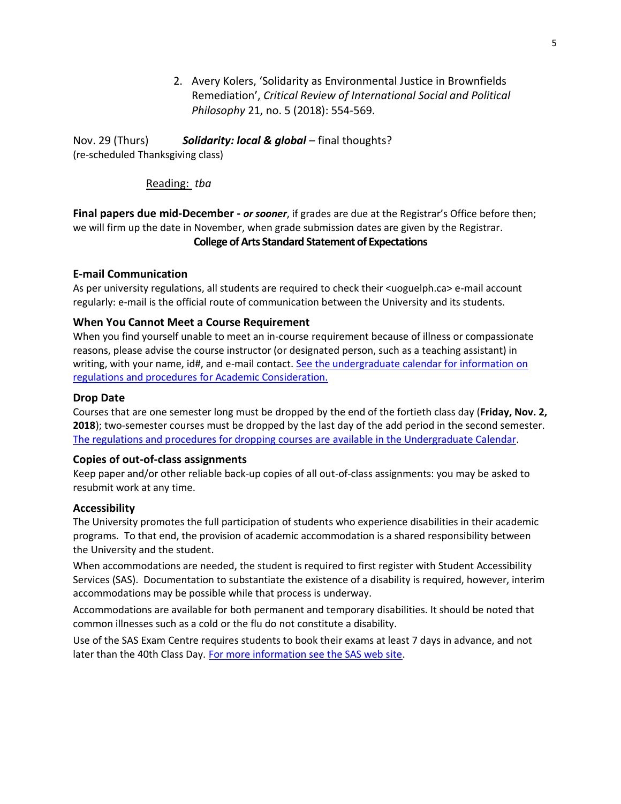2. Avery Kolers, 'Solidarity as Environmental Justice in Brownfields Remediation', *Critical Review of International Social and Political Philosophy* 21, no. 5 (2018): 554-569.

Nov. 29 (Thurs) *Solidarity: local & global* – final thoughts? (re-scheduled Thanksgiving class)

### Reading: *tba*

**Final papers due mid-December -** *or sooner*, if grades are due at the Registrar's Office before then; we will firm up the date in November, when grade submission dates are given by the Registrar. **College of Arts Standard Statement of Expectations**

### **E-mail Communication**

As per university regulations, all students are required to check their <uoguelph.ca> e-mail account regularly: e-mail is the official route of communication between the University and its students.

### **When You Cannot Meet a Course Requirement**

When you find yourself unable to meet an in-course requirement because of illness or compassionate reasons, please advise the course instructor (or designated person, such as a teaching assistant) in writing, with your name, id#, and e-mail contact. See the undergraduate calendar for information on [regulations and procedures for Academic Consideration.](http://www.uoguelph.ca/registrar/calendars/undergraduate/current/c08/c08-ac.shtml)

### **Drop Date**

Courses that are one semester long must be dropped by the end of the fortieth class day (**Friday, Nov. 2, 2018**); two-semester courses must be dropped by the last day of the add period in the second semester. [The regulations and procedures for dropping courses are available in the Undergraduate Calendar.](https://www.uoguelph.ca/registrar/calendars/undergraduate/current/c08/c08-drop.shtml)

### **Copies of out-of-class assignments**

Keep paper and/or other reliable back-up copies of all out-of-class assignments: you may be asked to resubmit work at any time.

### **Accessibility**

The University promotes the full participation of students who experience disabilities in their academic programs. To that end, the provision of academic accommodation is a shared responsibility between the University and the student.

When accommodations are needed, the student is required to first register with Student Accessibility Services (SAS). Documentation to substantiate the existence of a disability is required, however, interim accommodations may be possible while that process is underway.

Accommodations are available for both permanent and temporary disabilities. It should be noted that common illnesses such as a cold or the flu do not constitute a disability.

Use of the SAS Exam Centre requires students to book their exams at least 7 days in advance, and not later than the 40th Class Day. [For more information see the SAS web site.](http://www.uoguelph.ca/sas)